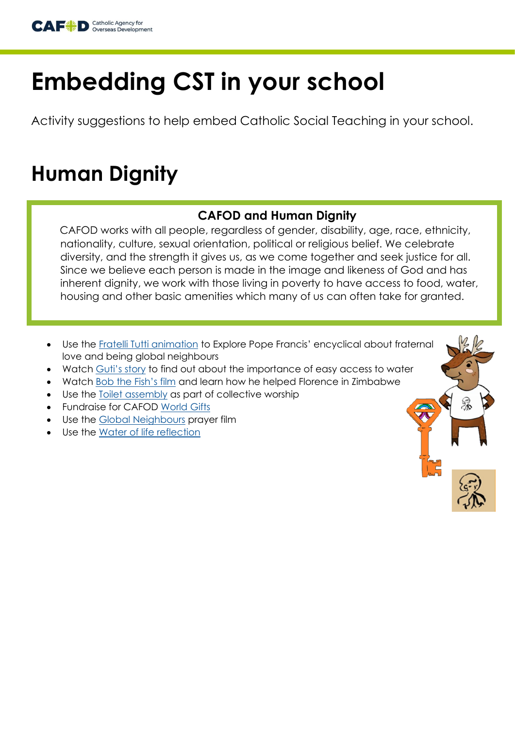

# **Embedding CST in your school**

Activity suggestions to help embed Catholic Social Teaching in your school.

# **Human Dignity**

### **CAFOD and Human Dignity**

CAFOD works with all people, regardless of gender, disability, age, race, ethnicity, nationality, culture, sexual orientation, political or religious belief. We celebrate diversity, and the strength it gives us, as we come together and seek justice for all. Since we believe each person is made in the image and likeness of God and has inherent dignity, we work with those living in poverty to have access to food, water, housing and other basic amenities which many of us can often take for granted.

- Use the [Fratelli Tutti animation](https://cafod.org.uk/Education/Fratelli-Tutti-for-schools) to Explore Pope Francis' encyclical about fraternal love and being global neighbours
- Watch Guti'[s story](https://cafod.org.uk/content/download/48895/586219/version/2/file/Guti%27s%20story%20about%20water%20in%20Uganda.pptx) to find out about the importance of easy access to water
- Watch **[Bob the Fish's film](https://www.youtube.com/watch?v=m4bepdEr198&list=PLCqV6mKXfbD9-lxiQw-vLs1KPIWv7ttVm&index=26) and learn how he helped Florence in Zimbabwe**
- Use the [Toilet assembly](https://cafod.org.uk/content/download/47281/573422/version/1/file/World%20toilet%20day4%20%28NXPowerLite%20Backup%29.pptx) as part of collective worship
- Fundraise for CAFOD [World Gifts](https://worldgifts.cafod.org.uk/)
- Use the [Global Neighbours](https://cafod.org.uk/Education/Primary-teaching-resources/Children-s-prayers/Global-neighbours-prayer) prayer film
- Use the [Water of life reflection](https://www.youtube.com/watch?v=jMfCV5QAo7c)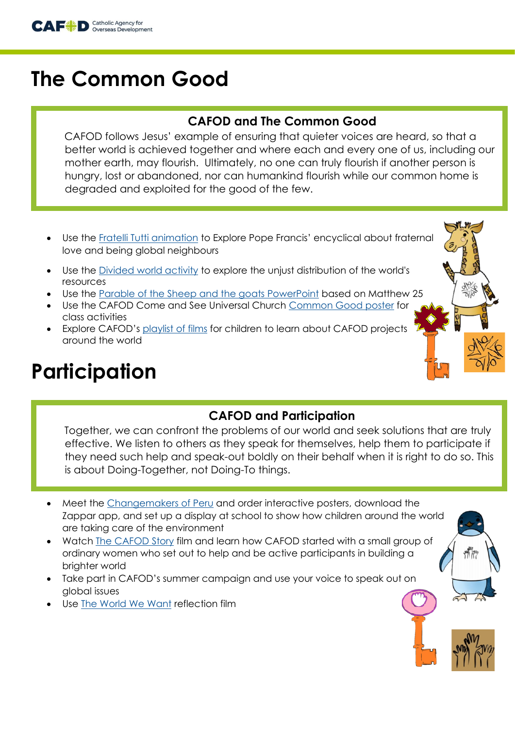

### **The Common Good**

### **CAFOD and The Common Good**

CAFOD follows Jesus' example of ensuring that quieter voices are heard, so that a better world is achieved together and where each and every one of us, including our mother earth, may flourish. Ultimately, no one can truly flourish if another person is hungry, lost or abandoned, nor can humankind flourish while our common home is degraded and exploited for the good of the few.

- Use the [Fratelli Tutti animation](https://cafod.org.uk/Education/Fratelli-Tutti-for-schools) to Explore Pope Francis' encyclical about fraternal love and being global neighbours
- Use the [Divided world activity](https://comeandsee.cafod.org.uk/content/download/20895/145956/version/4/file/Explore-A-divided-world-activity.pdf0.pdf) to explore the unjust distribution of the world's resources
- Use the [Parable of the Sheep and the goats PowerPoint](https://comeandsee.cafod.org.uk/content/download/20917/146068/version/3/file/Reveal-Focus-3-The-parable-of-the-sheep-and-goats.ppt) based on Matthew 25
- Use the CAFOD Come and See Universal Church [Common Good poster](https://comeandsee.cafod.org.uk/content/download/20933/146145/version/5/file/Common-good-poster.pdfx_%26.pdf) for class activities
- Explore CAFOD's [playlist of films](https://www.youtube.com/playlist?list=PLCqV6mKXfbD9-lxiQw-vLs1KPIWv7ttVm) for children to learn about CAFOD projects around the world

### **Participation**

#### **CAFOD and Participation**

Together, we can confront the problems of our world and seek solutions that are truly effective. We listen to others as they speak for themselves, help them to participate if they need such help and speak-out boldly on their behalf when it is right to do so. This is about Doing-Together, not Doing-To things.

- Meet the [Changemakers of Peru](https://cafod.org.uk/Education/Primary-teaching%20resources/Changemakers-in-Peru) and order interactive posters, download the Zappar app, and set up a display at school to show how children around the world are taking care of the environment
- Watch [The CAFOD Story](https://www.youtube.com/watch?v=ueasu0R3DKA&list=PLCqV6mKXfbD9-lxiQw-vLs1KPIWv7ttVm&index=15) film and learn how CAFOD started with a small group of ordinary women who set out to help and be active participants in building a brighter world
- Take part in CAFOD's summer campaign and use your voice to speak out on global issues
- Use [The World We Want](https://www.youtube.com/watch?v=A0LsVtT1WeI) reflection film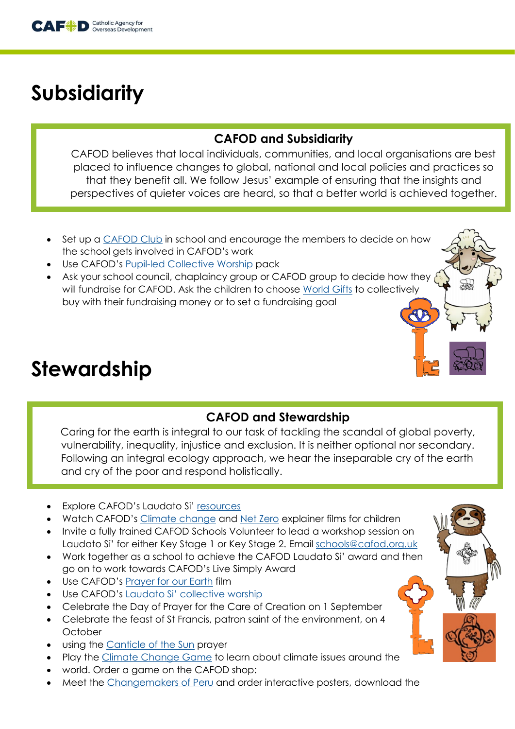

# **Subsidiarity**

### **CAFOD and Subsidiarity**

CAFOD believes that local individuals, communities, and local organisations are best placed to influence changes to global, national and local policies and practices so that they benefit all. We follow Jesus' example of ensuring that the insights and perspectives of quieter voices are heard, so that a better world is achieved together.

- Set up a [CAFOD Club](https://cafod.org.uk/Education/For-teachers/CAFOD-clubs) in school and encourage the members to decide on how the school gets involved in CAFOD's work
- Use CAFOD's [Pupil-led Collective Worship](https://cafod.org.uk/Education/Primary-teaching-resources/Collective-worship-primary) pack
- Ask your school council, chaplaincy group or CAFOD group to decide how they will fundraise for CAFOD. Ask the children to choose [World Gifts](https://cafod.org.uk/Fundraise/World-Gifts) to collectively buy with their fundraising money or to set a fundraising goal

### **Stewardship**

### **CAFOD and Stewardship**

Caring for the earth is integral to our task of tackling the scandal of global poverty, vulnerability, inequality, injustice and exclusion. It is neither optional nor secondary. Following an integral ecology approach, we hear the inseparable cry of the earth and cry of the poor and respond holistically.

- **Explore CAFOD's Laudato Si' [resources](https://cafod.org.uk/Education/Primary-teaching-resources/Laudato-Si-for-children)**
- Watch CAFOD's [Climate change](https://youtu.be/v8unGCTWUWI) and [Net Zero](https://youtu.be/VqZD-mnC5Gk) explainer films for children
- Invite a fully trained CAFOD Schools Volunteer to lead a workshop session on Laudato Si' for either Key Stage 1 or Key Stage 2. Email [schools@cafod.org.uk](mailto:schools@cafod.org.uk)
- Work together as a school to achieve the CAFOD Laudato Si' award and then go on to work towards CAFOD's Live Simply Award
- Use CAFOD's [Prayer for our Earth](https://cafod.org.uk/Education/Primary-teaching-resources/Children-s-prayers/Our-Earth-children-s-prayer) film
- Use CAFOD's [Laudato Si' collective worship](https://cafod.org.uk/Education/Primary-teaching-resources/Collective-worship-primary/Laudato-Si-collective-worship)
- Celebrate the Day of Prayer for the Care of Creation on 1 September
- Celebrate the feast of St Francis, patron saint of the environment, on 4 **October**
- using the [Canticle of the Sun](file:///C:/Users/vahmed/Desktop/CST%20resources/CST%20resources/•%09https:/cafod.org.uk/content/download/52997/739356/version/1/file/CAFOD%20Canti) prayer
- Play the [Climate Change Game](file:///C:/Users/vahmed/Desktop/CST%20resources/CST%20resources/•%09https:/shop.cafod.org.uk/collections/frontpage/products/primary-climate-change%20game-2021) to learn about climate issues around the
- world. Order a game on the CAFOD shop:
- Meet the [Changemakers of Peru](https://cafod.org.uk/Education/Primary-teaching%20resources/Changemakers-in-Peru) and order interactive posters, download the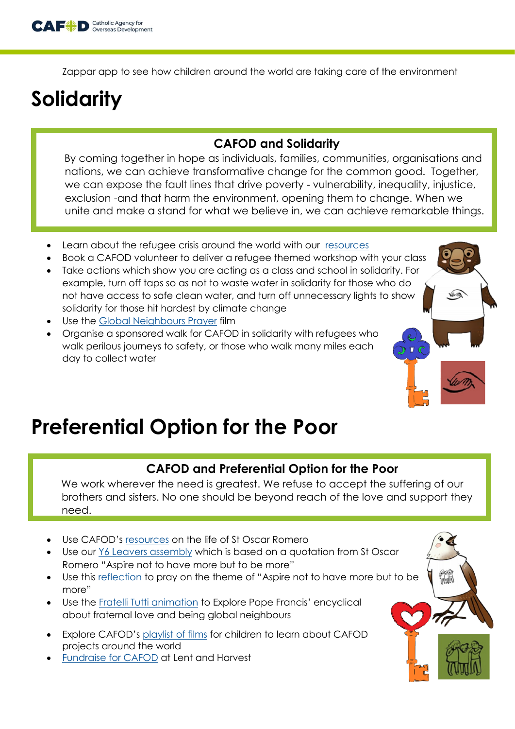

Zappar app to see how children around the world are taking care of the environment

# **Solidarity**

#### **CAFOD and Solidarity**

By coming together in hope as individuals, families, communities, organisations and nations, we can achieve transformative change for the common good. Together, we can expose the fault lines that drive poverty - vulnerability, inequality, injustice, exclusion -and that harm the environment, opening them to change. When we unite and make a stand for what we believe in, we can achieve remarkable things.

- Learn about the refugee crisis around the world with our [resources](https://cafod.org.uk/Education/Primary-teaching-resources/Refugee-resources)
- Book a CAFOD volunteer to deliver a refugee themed workshop with your class
- Take actions which show you are acting as a class and school in solidarity. For example, turn off taps so as not to waste water in solidarity for those who do not have access to safe clean water, and turn off unnecessary lights to show solidarity for those hit hardest by climate change
- Use the [Global Neighbours Prayer](https://cafod.org.uk/Education/Primary-teaching-resources/Children-s-prayers/Global-neighbours-prayer) film
- Organise a sponsored walk for CAFOD in solidarity with refugees who walk perilous journeys to safety, or those who walk many miles each day to collect water

### **Preferential Option for the Poor**

#### **CAFOD and Preferential Option for the Poor**

We work wherever the need is greatest. We refuse to accept the suffering of our brothers and sisters. No one should be beyond reach of the love and support they need.

- Use CAFOD's [resources](https://cafod.org.uk/Education/Primary-teaching-resources/St-Romero) on the life of St Oscar Romero
- Use our [Y6 Leavers assembly](https://cafod.org.uk/Education/Primary-teaching-resources/Collective-worship-primary/Yr6-liturgy-for-school-leavers) which is based on a quotation from St Oscar Romero "Aspire not to have more but to be more"
- Use this [reflection](https://cafod.org.uk/content/download/52624/736323/version/1/file/Aspire%20reflection.mp4) to pray on the theme of "Aspire not to have more but to be more"
- Use the [Fratelli Tutti animation](https://cafod.org.uk/Education/Fratelli-Tutti-for-schools) to Explore Pope Francis' encyclical about fraternal love and being global neighbours
- Explore CAFOD's [playlist of films](https://www.youtube.com/playlist?list=PLCqV6mKXfbD9-lxiQw-vLs1KPIWv7ttVm) for children to learn about CAFOD projects around the world
- [Fundraise for CAFOD](https://cafod.org.uk/Fundraise/School-fundraising) at Lent and Harvest